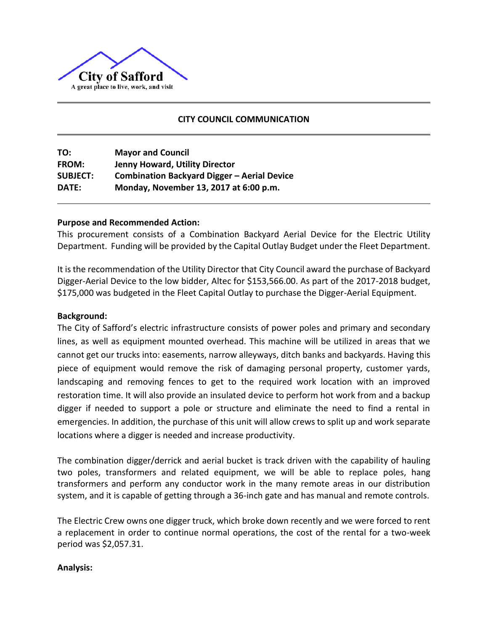

## **CITY COUNCIL COMMUNICATION**

**TO: Mayor and Council FROM: Jenny Howard, Utility Director SUBJECT: Combination Backyard Digger – Aerial Device DATE: Monday, November 13, 2017 at 6:00 p.m.**

## **Purpose and Recommended Action:**

This procurement consists of a Combination Backyard Aerial Device for the Electric Utility Department. Funding will be provided by the Capital Outlay Budget under the Fleet Department.

It is the recommendation of the Utility Director that City Council award the purchase of Backyard Digger-Aerial Device to the low bidder, Altec for \$153,566.00. As part of the 2017-2018 budget, \$175,000 was budgeted in the Fleet Capital Outlay to purchase the Digger-Aerial Equipment.

## **Background:**

The City of Safford's electric infrastructure consists of power poles and primary and secondary lines, as well as equipment mounted overhead. This machine will be utilized in areas that we cannot get our trucks into: easements, narrow alleyways, ditch banks and backyards. Having this piece of equipment would remove the risk of damaging personal property, customer yards, landscaping and removing fences to get to the required work location with an improved restoration time. It will also provide an insulated device to perform hot work from and a backup digger if needed to support a pole or structure and eliminate the need to find a rental in emergencies. In addition, the purchase of this unit will allow crews to split up and work separate locations where a digger is needed and increase productivity.

The combination digger/derrick and aerial bucket is track driven with the capability of hauling two poles, transformers and related equipment, we will be able to replace poles, hang transformers and perform any conductor work in the many remote areas in our distribution system, and it is capable of getting through a 36-inch gate and has manual and remote controls.

The Electric Crew owns one digger truck, which broke down recently and we were forced to rent a replacement in order to continue normal operations, the cost of the rental for a two-week period was \$2,057.31.

## **Analysis:**